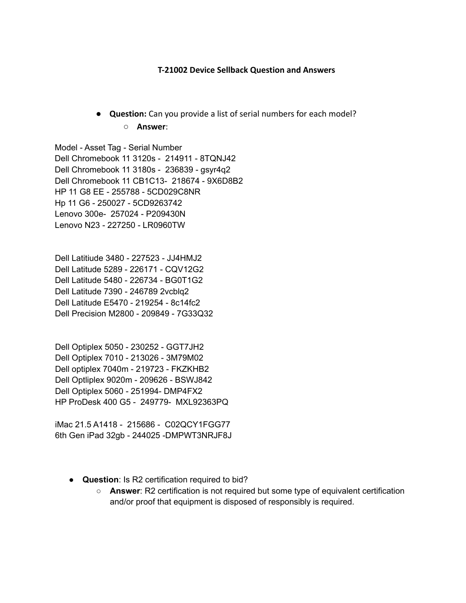## **T-21002 Device Sellback Question and Answers**

**● Question:** Can you provide a list of serial numbers for each model? ○ **Answer**:

Model - Asset Tag - Serial Number Dell Chromebook 11 3120s - 214911 - 8TQNJ42 Dell Chromebook 11 3180s - 236839 - gsyr4q2 Dell Chromebook 11 CB1C13- 218674 - 9X6D8B2 HP 11 G8 EE - 255788 - 5CD029C8NR Hp 11 G6 - 250027 - 5CD9263742 Lenovo 300e- 257024 - P209430N Lenovo N23 - 227250 - LR0960TW

Dell Latitiude 3480 - 227523 - JJ4HMJ2 Dell Latitude 5289 - 226171 - CQV12G2 Dell Latitude 5480 - 226734 - BG0T1G2 Dell Latitude 7390 - 246789 2vcblq2 Dell Latitude E5470 - 219254 - 8c14fc2 Dell Precision M2800 - 209849 - 7G33Q32

Dell Optiplex 5050 - 230252 - GGT7JH2 Dell Optiplex 7010 - 213026 - 3M79M02 Dell optiplex 7040m - 219723 - FKZKHB2 Dell Optliplex 9020m - 209626 - BSWJ842 Dell Optiplex 5060 - 251994- DMP4FX2 HP ProDesk 400 G5 - 249779- MXL92363PQ

iMac 21.5 A1418 - 215686 - C02QCY1FGG77 6th Gen iPad 32gb - 244025 -DMPWT3NRJF8J

- **Question**: Is R2 certification required to bid?
	- **Answer**: R2 certification is not required but some type of equivalent certification and/or proof that equipment is disposed of responsibly is required.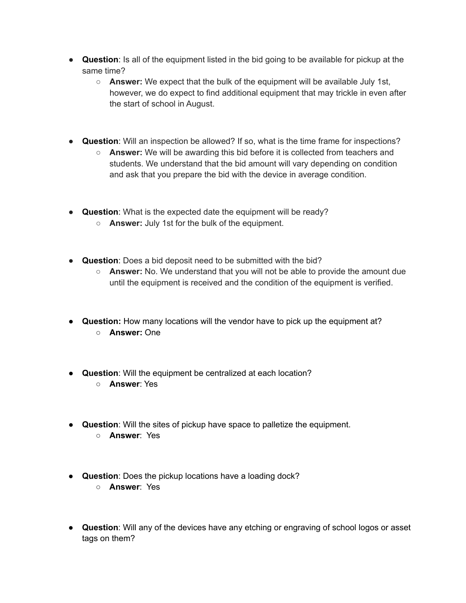- **Question**: Is all of the equipment listed in the bid going to be available for pickup at the same time?
	- **Answer:** We expect that the bulk of the equipment will be available July 1st, however, we do expect to find additional equipment that may trickle in even after the start of school in August.
- **Question**: Will an inspection be allowed? If so, what is the time frame for inspections?
	- **Answer:** We will be awarding this bid before it is collected from teachers and students. We understand that the bid amount will vary depending on condition and ask that you prepare the bid with the device in average condition.
- **Question**: What is the expected date the equipment will be ready?
	- **Answer:** July 1st for the bulk of the equipment.
- **Question**: Does a bid deposit need to be submitted with the bid?
	- **Answer:** No. We understand that you will not be able to provide the amount due until the equipment is received and the condition of the equipment is verified.
- **Question:** How many locations will the vendor have to pick up the equipment at? ○ **Answer:** One
- **Question**: Will the equipment be centralized at each location?
	- **Answer**: Yes
- **Question**: Will the sites of pickup have space to palletize the equipment.
	- **Answer**: Yes
- **Question**: Does the pickup locations have a loading dock?
	- **Answer**: Yes
- **Question**: Will any of the devices have any etching or engraving of school logos or asset tags on them?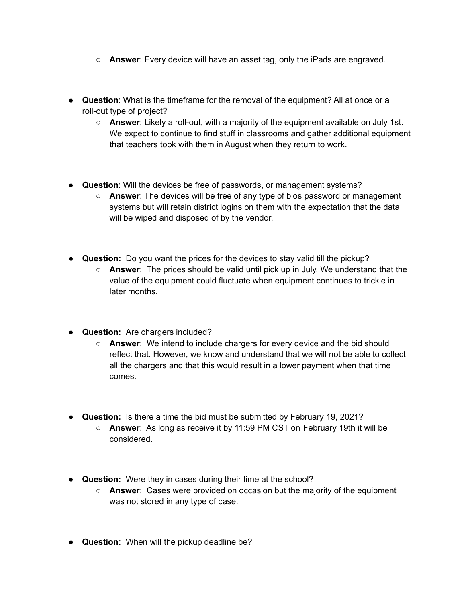- **Answer**: Every device will have an asset tag, only the iPads are engraved.
- **Question**: What is the timeframe for the removal of the equipment? All at once or a roll-out type of project?
	- **Answer**: Likely a roll-out, with a majority of the equipment available on July 1st. We expect to continue to find stuff in classrooms and gather additional equipment that teachers took with them in August when they return to work.
- **Question**: Will the devices be free of passwords, or management systems?
	- **Answer**: The devices will be free of any type of bios password or management systems but will retain district logins on them with the expectation that the data will be wiped and disposed of by the vendor.
- **Question:** Do you want the prices for the devices to stay valid till the pickup?
	- **Answer**: The prices should be valid until pick up in July. We understand that the value of the equipment could fluctuate when equipment continues to trickle in later months.
- **Question:** Are chargers included?
	- **Answer**: We intend to include chargers for every device and the bid should reflect that. However, we know and understand that we will not be able to collect all the chargers and that this would result in a lower payment when that time comes.
- **Question:** Is there a time the bid must be submitted by February 19, 2021?
	- **Answer**: As long as receive it by 11:59 PM CST on February 19th it will be considered.
- **Question:** Were they in cases during their time at the school?
	- **Answer**: Cases were provided on occasion but the majority of the equipment was not stored in any type of case.
- **Question:** When will the pickup deadline be?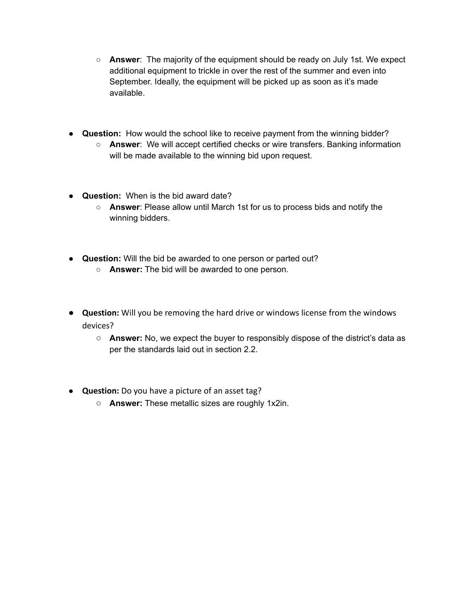- **Answer**: The majority of the equipment should be ready on July 1st. We expect additional equipment to trickle in over the rest of the summer and even into September. Ideally, the equipment will be picked up as soon as it's made available.
- **Question:** How would the school like to receive payment from the winning bidder?
	- **Answer**: We will accept certified checks or wire transfers. Banking information will be made available to the winning bid upon request.
- **Question:** When is the bid award date?
	- **Answer**: Please allow until March 1st for us to process bids and notify the winning bidders.
- **Question:** Will the bid be awarded to one person or parted out?
	- **Answer:** The bid will be awarded to one person.
- **Question:** Will you be removing the hard drive or windows license from the windows devices?
	- **Answer:** No, we expect the buyer to responsibly dispose of the district's data as per the standards laid out in section 2.2.
- **Question:** Do you have a picture of an asset tag?
	- **Answer:** These metallic sizes are roughly 1x2in.